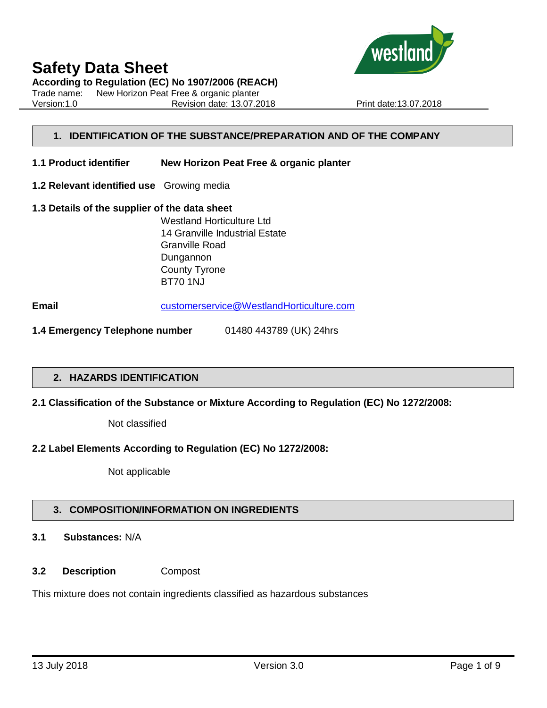

**According to Regulation (EC) No 1907/2006 (REACH)**

Trade name: New Horizon Peat Free & organic planter Version:1.0 Revision date: 13.07.2018 Print date:13.07.2018

# **1. IDENTIFICATION OF THE SUBSTANCE/PREPARATION AND OF THE COMPANY**

- **1.1 Product identifier New Horizon Peat Free & organic planter**
- **1.2 Relevant identified use** Growing media
- **1.3 Details of the supplier of the data sheet** Westland Horticulture Ltd 14 Granville Industrial Estate Granville Road Dungannon County Tyrone BT70 1NJ

**Email** [customerservice@WestlandHorticulture.com](mailto:customerservice@WestlandHorticulture.com)

**1.4 Emergency Telephone number** 01480 443789 (UK) 24hrs

### **2. HAZARDS IDENTIFICATION**

**2.1 Classification of the Substance or Mixture According to Regulation (EC) No 1272/2008:**

Not classified

### **2.2 Label Elements According to Regulation (EC) No 1272/2008:**

Not applicable

### **3. COMPOSITION/INFORMATION ON INGREDIENTS**

# **3.1 Substances:** N/A

**3.2 Description** Compost

This mixture does not contain ingredients classified as hazardous substances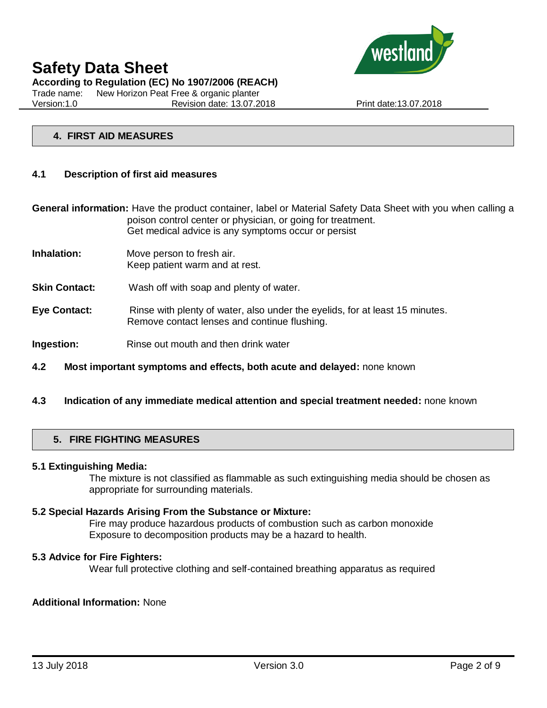

**According to Regulation (EC) No 1907/2006 (REACH)**

Trade name: New Horizon Peat Free & organic planter Version:1.0 Revision date: 13.07.2018 Print date:13.07.2018

# **4. FIRST AID MEASURES**

# **4.1 Description of first aid measures**

**General information:** Have the product container, label or Material Safety Data Sheet with you when calling a poison control center or physician, or going for treatment. Get medical advice is any symptoms occur or persist

- **Inhalation:** Move person to fresh air. Keep patient warm and at rest.
- **Skin Contact:** Wash off with soap and plenty of water.
- **Eye Contact:** Rinse with plenty of water, also under the eyelids, for at least 15 minutes. Remove contact lenses and continue flushing.
- **Ingestion:** Rinse out mouth and then drink water
- **4.2 Most important symptoms and effects, both acute and delayed:** none known
- **4.3 Indication of any immediate medical attention and special treatment needed:** none known

# **5. FIRE FIGHTING MEASURES**

### **5.1 Extinguishing Media:**

The mixture is not classified as flammable as such extinguishing media should be chosen as appropriate for surrounding materials.

#### **5.2 Special Hazards Arising From the Substance or Mixture:**

Fire may produce hazardous products of combustion such as carbon monoxide Exposure to decomposition products may be a hazard to health.

#### **5.3 Advice for Fire Fighters:**

Wear full protective clothing and self-contained breathing apparatus as required

### **Additional Information:** None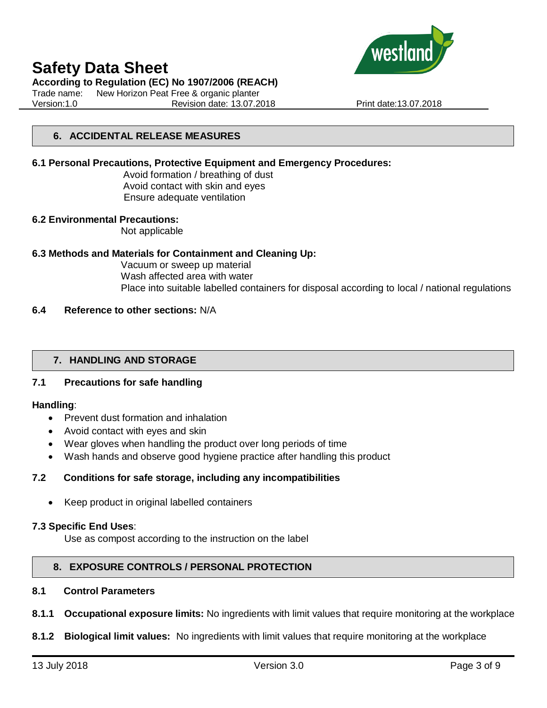

# **According to Regulation (EC) No 1907/2006 (REACH)**

Trade name: New Horizon Peat Free & organic planter Version:1.0 Revision date: 13.07.2018 Print date:13.07.2018

# **6. ACCIDENTAL RELEASE MEASURES**

# **6.1 Personal Precautions, Protective Equipment and Emergency Procedures:**

Avoid formation / breathing of dust Avoid contact with skin and eyes Ensure adequate ventilation

### **6.2 Environmental Precautions:**

Not applicable

# **6.3 Methods and Materials for Containment and Cleaning Up:**

Vacuum or sweep up material Wash affected area with water Place into suitable labelled containers for disposal according to local / national regulations

# **6.4 Reference to other sections:** N/A

# **7. HANDLING AND STORAGE**

# **7.1 Precautions for safe handling**

### **Handling**:

- Prevent dust formation and inhalation
- Avoid contact with eyes and skin
- Wear gloves when handling the product over long periods of time
- Wash hands and observe good hygiene practice after handling this product

### **7.2 Conditions for safe storage, including any incompatibilities**

• Keep product in original labelled containers

### **7.3 Specific End Uses**:

Use as compost according to the instruction on the label

# **8. EXPOSURE CONTROLS / PERSONAL PROTECTION**

# **8.1 Control Parameters**

- **8.1.1 Occupational exposure limits:** No ingredients with limit values that require monitoring at the workplace
- **8.1.2 Biological limit values:** No ingredients with limit values that require monitoring at the workplace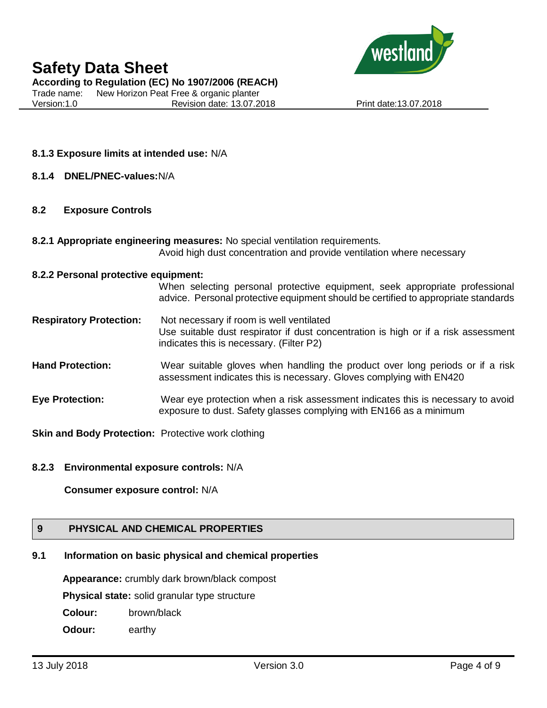

**According to Regulation (EC) No 1907/2006 (REACH)**

Trade name: New Horizon Peat Free & organic planter Version:1.0 Revision date: 13.07.2018 Print date:13.07.2018

# **8.1.3 Exposure limits at intended use:** N/A

**8.1.4 DNEL/PNEC-values:**N/A

# **8.2 Exposure Controls**

**8.2.1 Appropriate engineering measures:** No special ventilation requirements. Avoid high dust concentration and provide ventilation where necessary

### **8.2.2 Personal protective equipment:**

When selecting personal protective equipment, seek appropriate professional advice. Personal protective equipment should be certified to appropriate standards

- **Respiratory Protection:** Not necessary if room is well ventilated Use suitable dust respirator if dust concentration is high or if a risk assessment indicates this is necessary. (Filter P2)
- **Hand Protection:** Wear suitable gloves when handling the product over long periods or if a risk assessment indicates this is necessary. Gloves complying with EN420
- **Eye Protection:** Wear eye protection when a risk assessment indicates this is necessary to avoid exposure to dust. Safety glasses complying with EN166 as a minimum

**Skin and Body Protection:** Protective work clothing

# **8.2.3 Environmental exposure controls:** N/A

**Consumer exposure control:** N/A

# **9 PHYSICAL AND CHEMICAL PROPERTIES**

# **9.1 Information on basic physical and chemical properties**

**Appearance:** crumbly dark brown/black compost

**Physical state:** solid granular type structure

- **Colour:** brown/black
- **Odour:** earthy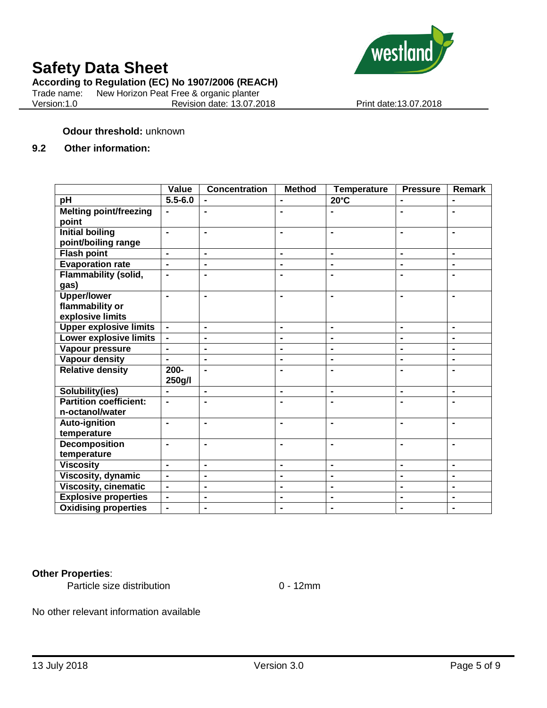

# **According to Regulation (EC) No 1907/2006 (REACH)**

Trade name: New Horizon Peat Free & organic planter<br>Version:1.0 Revision date: 13.07.2 Revision date: 13.07.2018 Print date: 13.07.2018

# **Odour threshold:** unknown

# **9.2 Other information:**

|                               | Value          | <b>Concentration</b> | <b>Method</b>  | <b>Temperature</b> | <b>Pressure</b>              | <b>Remark</b>  |
|-------------------------------|----------------|----------------------|----------------|--------------------|------------------------------|----------------|
| pH                            | $5.5 - 6.0$    |                      | $\blacksquare$ | $20^{\circ}$ C     |                              | $\blacksquare$ |
| <b>Melting point/freezing</b> | $\blacksquare$ | $\blacksquare$       | $\blacksquare$ |                    | $\blacksquare$               | $\blacksquare$ |
| point                         |                |                      |                |                    |                              |                |
| <b>Initial boiling</b>        | $\blacksquare$ | $\blacksquare$       | $\blacksquare$ | $\blacksquare$     | $\blacksquare$               | $\blacksquare$ |
| point/boiling range           |                |                      |                |                    |                              |                |
| <b>Flash point</b>            | $\blacksquare$ | $\blacksquare$       | $\blacksquare$ | $\blacksquare$     | $\blacksquare$               | $\blacksquare$ |
| <b>Evaporation rate</b>       | $\blacksquare$ | $\blacksquare$       | $\blacksquare$ | $\blacksquare$     | $\blacksquare$               | $\blacksquare$ |
| <b>Flammability (solid,</b>   | $\blacksquare$ | $\blacksquare$       | $\blacksquare$ |                    |                              | $\blacksquare$ |
| gas)                          |                |                      |                |                    |                              |                |
| <b>Upper/lower</b>            | $\blacksquare$ | $\blacksquare$       | $\blacksquare$ |                    |                              | $\blacksquare$ |
| flammability or               |                |                      |                |                    |                              |                |
| explosive limits              |                |                      |                |                    |                              |                |
| <b>Upper explosive limits</b> | $\blacksquare$ | $\blacksquare$       | $\blacksquare$ | $\blacksquare$     | $\blacksquare$               | $\blacksquare$ |
| <b>Lower explosive limits</b> |                | $\blacksquare$       | $\blacksquare$ |                    |                              | $\blacksquare$ |
| Vapour pressure               | $\blacksquare$ | $\blacksquare$       | $\blacksquare$ | $\blacksquare$     | $\blacksquare$               | $\blacksquare$ |
| <b>Vapour density</b>         | $\blacksquare$ | $\blacksquare$       | $\blacksquare$ | $\blacksquare$     | $\blacksquare$               | $\blacksquare$ |
| <b>Relative density</b>       | $200 -$        | $\blacksquare$       | $\blacksquare$ |                    | $\blacksquare$               | $\blacksquare$ |
|                               | 250g/l         |                      |                |                    |                              |                |
| Solubility(ies)               |                | $\blacksquare$       | $\blacksquare$ | $\blacksquare$     | $\blacksquare$               | $\blacksquare$ |
| <b>Partition coefficient:</b> | $\blacksquare$ | $\blacksquare$       | $\blacksquare$ |                    |                              | $\blacksquare$ |
| n-octanol/water               |                |                      |                |                    |                              |                |
| Auto-ignition                 | $\blacksquare$ | $\blacksquare$       | $\blacksquare$ | $\blacksquare$     | $\blacksquare$               | $\blacksquare$ |
| temperature                   |                |                      |                |                    |                              |                |
| <b>Decomposition</b>          | $\blacksquare$ | $\blacksquare$       | $\blacksquare$ |                    |                              | $\blacksquare$ |
| temperature                   |                |                      |                |                    |                              |                |
| <b>Viscosity</b>              | $\blacksquare$ | $\blacksquare$       | $\blacksquare$ | $\blacksquare$     | $\blacksquare$               | $\blacksquare$ |
| <b>Viscosity, dynamic</b>     | $\blacksquare$ | $\blacksquare$       | $\blacksquare$ | $\blacksquare$     | $\blacksquare$               | $\blacksquare$ |
| <b>Viscosity, cinematic</b>   | $\blacksquare$ | $\blacksquare$       | $\blacksquare$ | $\blacksquare$     | $\qquad \qquad \blacksquare$ | $\blacksquare$ |
| <b>Explosive properties</b>   | $\blacksquare$ | $\blacksquare$       | $\blacksquare$ | $\blacksquare$     | $\blacksquare$               | $\blacksquare$ |
| <b>Oxidising properties</b>   | $\blacksquare$ | $\blacksquare$       | $\blacksquare$ | $\blacksquare$     |                              | $\blacksquare$ |

# **Other Properties**:

Particle size distribution 0 - 12mm

No other relevant information available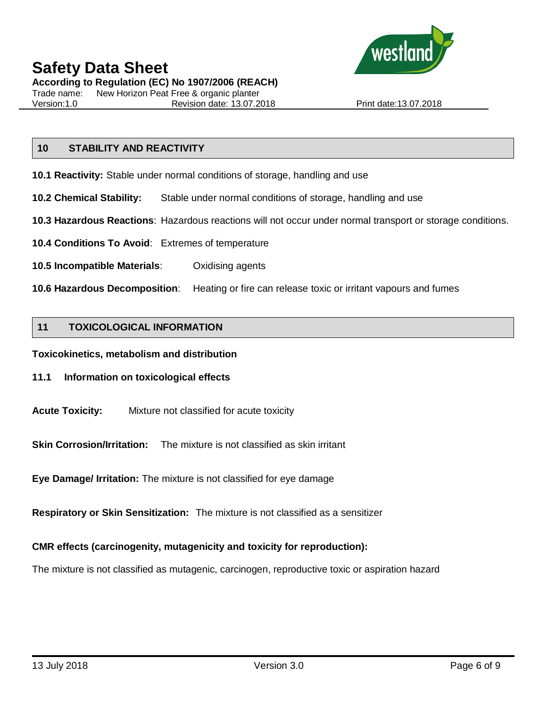

**According to Regulation (EC) No 1907/2006 (REACH)**

Trade name: New Horizon Peat Free & organic planter Version:1.0 Revision date: 13.07.2018 Print date:13.07.2018

# **10 STABILITY AND REACTIVITY**

- **10.1 Reactivity:** Stable under normal conditions of storage, handling and use
- **10.2 Chemical Stability:** Stable under normal conditions of storage, handling and use
- **10.3 Hazardous Reactions**: Hazardous reactions will not occur under normal transport or storage conditions.
- **10.4 Conditions To Avoid**: Extremes of temperature
- **10.5 Incompatible Materials**: Oxidising agents
- **10.6 Hazardous Decomposition**: Heating or fire can release toxic or irritant vapours and fumes

# **11 TOXICOLOGICAL INFORMATION**

**Toxicokinetics, metabolism and distribution**

- **11.1 Information on toxicological effects**
- **Acute Toxicity:** Mixture not classified for acute toxicity

**Skin Corrosion/Irritation:** The mixture is not classified as skin irritant

**Eye Damage/ Irritation:** The mixture is not classified for eye damage

**Respiratory or Skin Sensitization:** The mixture is not classified as a sensitizer

# **CMR effects (carcinogenity, mutagenicity and toxicity for reproduction):**

The mixture is not classified as mutagenic, carcinogen, reproductive toxic or aspiration hazard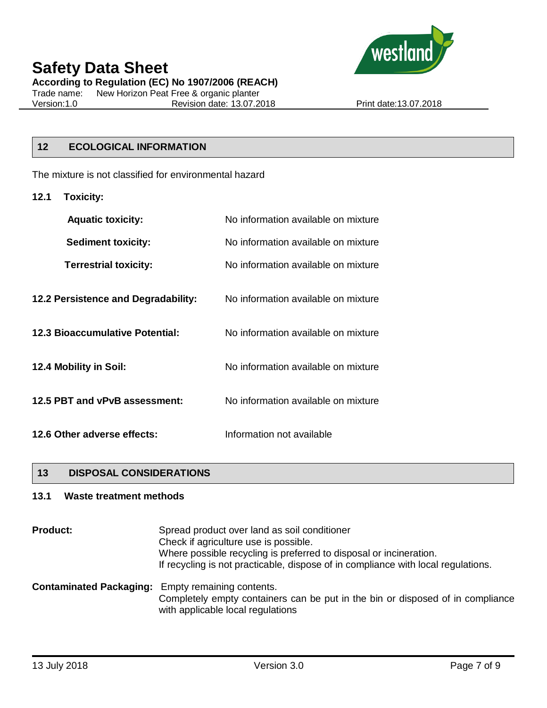

**According to Regulation (EC) No 1907/2006 (REACH)**

Trade name: New Horizon Peat Free & organic planter<br>Version:1.0 Revision date: 13.07.2 Revision date: 13.07.2018 Print date:13.07.2018

# **12 ECOLOGICAL INFORMATION**

The mixture is not classified for environmental hazard

**12.1 Toxicity:**

| <b>Aquatic toxicity:</b>            | No information available on mixture |
|-------------------------------------|-------------------------------------|
| <b>Sediment toxicity:</b>           | No information available on mixture |
| <b>Terrestrial toxicity:</b>        | No information available on mixture |
| 12.2 Persistence and Degradability: | No information available on mixture |
| 12.3 Bioaccumulative Potential:     | No information available on mixture |
| 12.4 Mobility in Soil:              | No information available on mixture |
| 12.5 PBT and vPvB assessment:       | No information available on mixture |
| 12.6 Other adverse effects:         | Information not available           |

# **13 DISPOSAL CONSIDERATIONS**

# **13.1 Waste treatment methods**

| <b>Product:</b> | Spread product over land as soil conditioner<br>Check if agriculture use is possible.<br>Where possible recycling is preferred to disposal or incineration.<br>If recycling is not practicable, dispose of in compliance with local regulations. |
|-----------------|--------------------------------------------------------------------------------------------------------------------------------------------------------------------------------------------------------------------------------------------------|
|                 | <b>Contaminated Packaging:</b> Empty remaining contents.<br>Completely empty containers can be put in the bin or disposed of in compliance<br>with applicable local regulations                                                                  |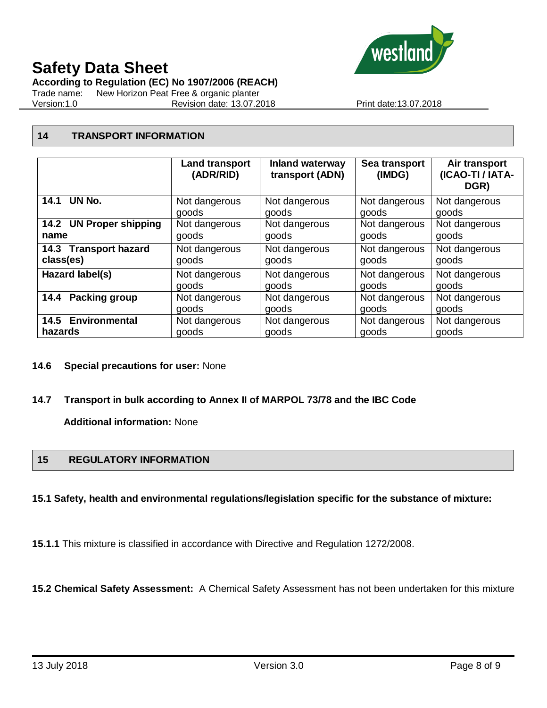

**According to Regulation (EC) No 1907/2006 (REACH)**

Trade name: New Horizon Peat Free & organic planter Version:1.0 Revision date: 13.07.2018 Print date:13.07.2018

# **14 TRANSPORT INFORMATION**

|                         | <b>Land transport</b><br>(ADR/RID) | <b>Inland waterway</b><br>transport (ADN) | Sea transport<br>(IMDG) | Air transport<br>(ICAO-TI / IATA-<br>DGR) |
|-------------------------|------------------------------------|-------------------------------------------|-------------------------|-------------------------------------------|
| 14.1 UN No.             | Not dangerous                      | Not dangerous                             | Not dangerous           | Not dangerous                             |
|                         | goods                              | goods                                     | goods                   | goods                                     |
| 14.2 UN Proper shipping | Not dangerous                      | Not dangerous                             | Not dangerous           | Not dangerous                             |
| name                    | goods                              | goods                                     | goods                   | goods                                     |
| 14.3 Transport hazard   | Not dangerous                      | Not dangerous                             | Not dangerous           | Not dangerous                             |
| class(es)               | goods                              | goods                                     | goods                   | goods                                     |
| Hazard label(s)         | Not dangerous                      | Not dangerous                             | Not dangerous           | Not dangerous                             |
|                         | goods                              | goods                                     | goods                   | goods                                     |
| <b>Packing group</b>    | Not dangerous                      | Not dangerous                             | Not dangerous           | Not dangerous                             |
| 14.4                    | goods                              | goods                                     | goods                   | goods                                     |
| 14.5 Environmental      | Not dangerous                      | Not dangerous                             | Not dangerous           | Not dangerous                             |
| hazards                 | goods                              | goods                                     | goods                   | goods                                     |

# **14.6 Special precautions for user:** None

# **14.7 Transport in bulk according to Annex II of MARPOL 73/78 and the IBC Code**

**Additional information:** None

# **15 REGULATORY INFORMATION**

# **15.1 Safety, health and environmental regulations/legislation specific for the substance of mixture:**

**15.1.1** This mixture is classified in accordance with Directive and Regulation 1272/2008.

**15.2 Chemical Safety Assessment:** A Chemical Safety Assessment has not been undertaken for this mixture